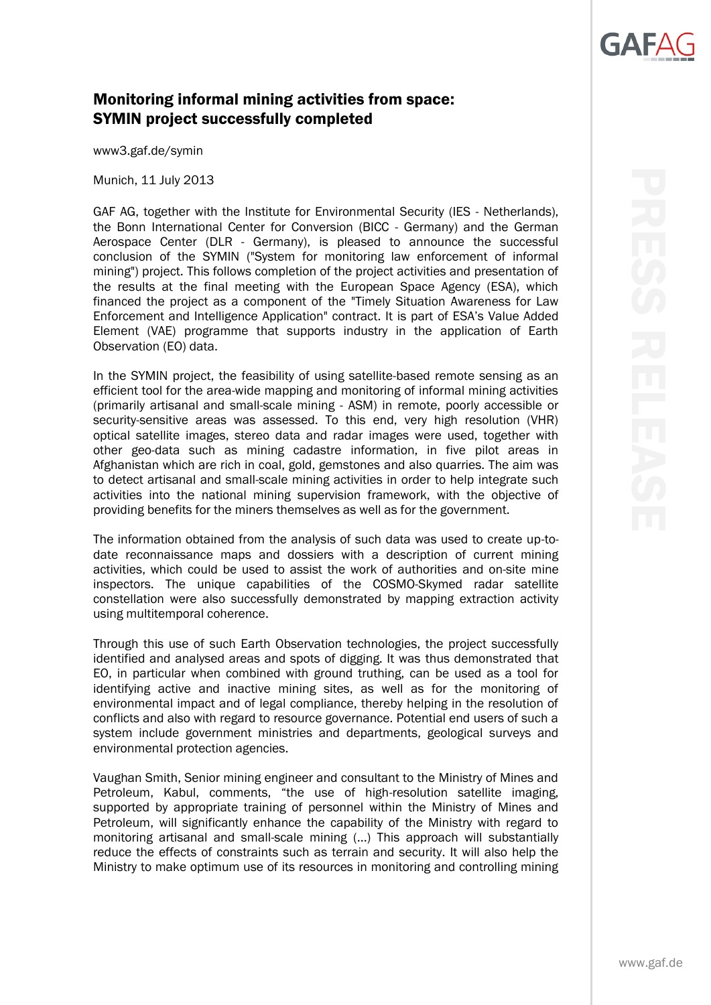## **GAF**

## Monitoring informal mining activities from space: SYMIN project successfully completed

www3.gaf.de/symin

Munich, 11 July 2013

GAF AG, together with the Institute for Environmental Security (IES - Netherlands), the Bonn International Center for Conversion (BICC - Germany) and the German Aerospace Center (DLR - Germany), is pleased to announce the successful conclusion of the SYMIN ("System for monitoring law enforcement of informal mining") project. This follows completion of the project activities and presentation of the results at the final meeting with the European Space Agency (ESA), which financed the project as a component of the "Timely Situation Awareness for Law Enforcement and Intelligence Application" contract. It is part of ESA's Value Added Element (VAE) programme that supports industry in the application of Earth Observation (EO) data.

In the SYMIN project, the feasibility of using satellite-based remote sensing as an efficient tool for the area-wide mapping and monitoring of informal mining activities (primarily artisanal and small-scale mining - ASM) in remote, poorly accessible or security-sensitive areas was assessed. To this end, very high resolution (VHR) optical satellite images, stereo data and radar images were used, together with other geo-data such as mining cadastre information, in five pilot areas in Afghanistan which are rich in coal, gold, gemstones and also quarries. The aim was to detect artisanal and small-scale mining activities in order to help integrate such activities into the national mining supervision framework, with the objective of providing benefits for the miners themselves as well as for the government.

The information obtained from the analysis of such data was used to create up-todate reconnaissance maps and dossiers with a description of current mining activities, which could be used to assist the work of authorities and on-site mine inspectors. The unique capabilities of the COSMO-Skymed radar satellite constellation were also successfully demonstrated by mapping extraction activity using multitemporal coherence.

Through this use of such Earth Observation technologies, the project successfully identified and analysed areas and spots of digging. It was thus demonstrated that EO, in particular when combined with ground truthing, can be used as a tool for identifying active and inactive mining sites, as well as for the monitoring of environmental impact and of legal compliance, thereby helping in the resolution of conflicts and also with regard to resource governance. Potential end users of such a system include government ministries and departments, geological surveys and environmental protection agencies.

Vaughan Smith, Senior mining engineer and consultant to the Ministry of Mines and Petroleum, Kabul, comments, "the use of high-resolution satellite imaging, supported by appropriate training of personnel within the Ministry of Mines and Petroleum, will significantly enhance the capability of the Ministry with regard to monitoring artisanal and small-scale mining (...) This approach will substantially reduce the effects of constraints such as terrain and security. It will also help the Ministry to make optimum use of its resources in monitoring and controlling mining